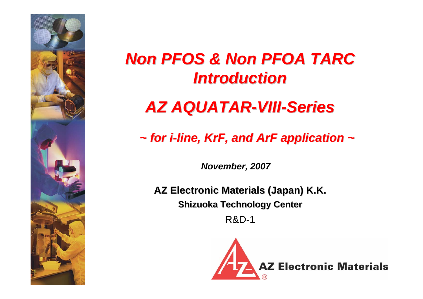

# *Non PFOS & Non PFOA TARC Non PFOS & Non PFOA TARC Introduction Introduction*

# *AZ AQUATAR AZ AQUATAR-VIII-Series*

# *~ for i ~ for i-line, KrF, and ArF application ~ line, KrF, and ArF application ~*

*November, 2007*

**AZ Electronic Materials (Japan) K.K. AZ Electronic Materials (Japan) K.K. Shizuoka Technology Center** 

R&D-1

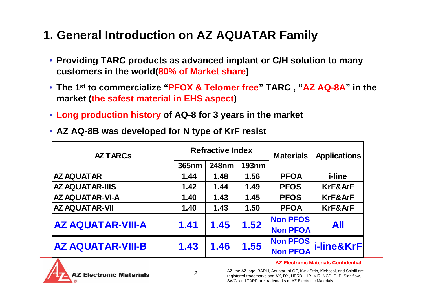## **1. General Introduction on AZ AQUATAR Family**

- **Providing TARC products as advanced implant or C/H solution to many customers in the world(80% of Market share )**
- **The 1st to commercialize "PFOX & Telomer free" TARC , "AZ AQ-8A" in the market (the safest material in EHS aspect)**
- **Long production history of AQ-8 for 3 years in the market**
- **AZ AQ-8B was developed for N type of KrF resist**

| <b>AZ TARCS</b>          |                                       | <b>Refractive Index</b> |      | <b>Materials</b>                   | <b>Applications</b> |  |
|--------------------------|---------------------------------------|-------------------------|------|------------------------------------|---------------------|--|
|                          | <b>248nm</b><br><b>193nm</b><br>365nm |                         |      |                                    |                     |  |
| <b>AZ AQUATAR</b>        | 1.44                                  | 1.48                    | 1.56 | <b>PFOA</b>                        | <i>i-line</i>       |  |
| <b>AZ AQUATAR-IIIS</b>   | 1.42                                  | 1.44                    | 1.49 | <b>PFOS</b>                        | KrF&ArF             |  |
| <b>AZ AQUATAR-VI-A</b>   | 1.40                                  | 1.43                    | 1.45 | <b>PFOS</b>                        | KrF&ArF             |  |
| <b>AZ AQUATAR-VII</b>    | 1.40                                  | 1.43                    | 1.50 | <b>PFOA</b>                        | KrF&ArF             |  |
| <b>AZ AQUATAR-VIII-A</b> | 1.41                                  | 1.45                    | 1.52 | <b>Non PFOS</b><br><b>Non PFOA</b> | <b>All</b>          |  |
| <b>AZ AQUATAR-VIII-B</b> | 1.43                                  | 1.46                    | 1.55 | Non PFOS<br><b>Non PFOA</b>        | i-line&KrF          |  |



**AZ Electronic Materials Confidential**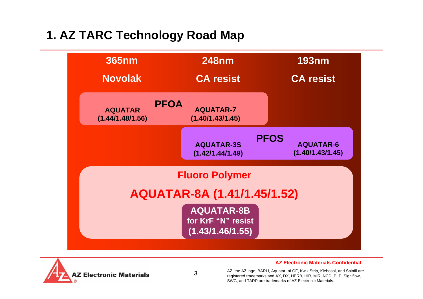# **1. AZ TARC Technology Road Map**





3

**AZ Electronic Materials Confidential**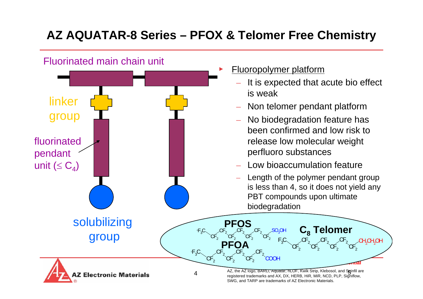# **AZ AQUATAR-8 Series – PFOX & Telomer Free Chemistry**

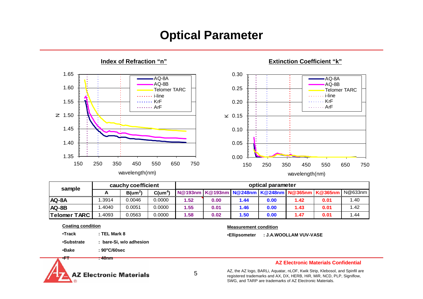## **Optical Parameter**



**Extinction Coefficient "k"**

| sample              | optical parameter |                  |            |                                                                     |      |      |      |      |      |      |
|---------------------|-------------------|------------------|------------|---------------------------------------------------------------------|------|------|------|------|------|------|
|                     |                   | $B(\text{um}^2)$ | $C(num^4)$ | N@193nm   K@193nm   N@248nm   K@248nm   N@365nm   K@365nm   N@633nm |      |      |      |      |      |      |
| AQ-8A               | .3914             | 0.0046           | 0.0000     | 1.52                                                                | 0.00 | 1.44 | 0.00 | 1.42 | 0.01 | 1.40 |
| AQ-8B               | .4040             | 0.0051           | 0.0000     | 1.55                                                                | 0.01 | 1.46 | 0.00 | 1.43 | 0.01 | 1.42 |
| <b>Telomer TARC</b> | .4093             | 0.0563           | 0.0000     | 1.58                                                                | 0.02 | 1.50 | 0.00 | 1.47 | 0.01 | 1.44 |

**Coating condition**

•**Track : TEL Mark 8**

•**Substrate : bare-Si, w/o adhesion**

•**Bake : 90oC/60sec**

•**FT : 40nm**



5

•**Ellipsometer : J.A.WOOLLAM VUV-VASE** 

**Measurement condition**

**AZ Electronic Materials Confidential**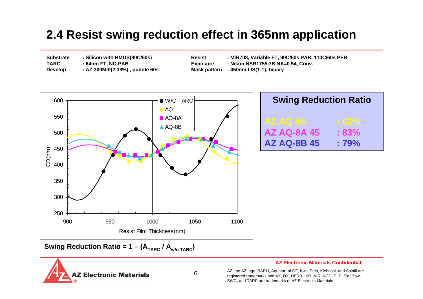## **2.4 Resist swing reduction effect in 365nm application**

| <b>Substrate</b> | : Silicon with HMDS(90C/60s)   |  |  |  |
|------------------|--------------------------------|--|--|--|
| TARC             | : 64nm FT, NO PAB              |  |  |  |
| <b>Develop</b>   | : AZ 300MIF(2.38%), puddle 60s |  |  |  |

**Substrate : Silicon with HMDS(90C/60s) Resist : MiR703, Variable FT, 90C/60s PAB, 110C/60s PEB TABLE EXPOSURE** : Nikon NSR1755i7B NA=0.54, Conv. **Mask pattern** : 450nm L/S(1:1), binary



| <b>Swing Reduction Ratio</b> |         |  |  |  |  |  |  |
|------------------------------|---------|--|--|--|--|--|--|
| AZ AQ 45                     | $:62\%$ |  |  |  |  |  |  |
| <b>AZ AQ-8A 45</b>           | $:83\%$ |  |  |  |  |  |  |
| <b>AZ AQ-8B 45</b>           | $:79\%$ |  |  |  |  |  |  |

**Swing Reduction Ratio = 1 – (ATARC / Aw/o TARC)**



#### **AZ Electronic Materials Confidential**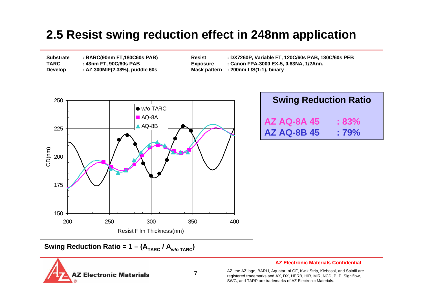## **2.5 Resist swing reduction effect in 248nm application**

| <b>Substrate</b> |  |
|------------------|--|
| <b>TARC</b>      |  |
| <b>Develop</b>   |  |

**Substrate : BARC(90nm FT,180C60s PAB) Resist : DX7260P, Variable FT, 120C/60s PAB, 130C/60s PEB TARC : 43nm FT, 90C/60s PAB Exposure : Canon FPA-3000 EX-5, 0.63NA, 1/2Ann. Develop : AZ 300MIF(2.38%), puddle 60s Mask pattern : 200nm L/S(1:1), binary**



| <b>Swing Reduction Ratio</b> |         |  |  |  |  |  |  |  |
|------------------------------|---------|--|--|--|--|--|--|--|
| <b>AZ AQ-8A 45</b>           | $:83\%$ |  |  |  |  |  |  |  |
| <b>AZ AQ-8B 45</b>           | $:79\%$ |  |  |  |  |  |  |  |

**Swing Reduction Ratio = 1 – (ATARC / Aw/o TARC)**



7

#### **AZ Electronic Materials Confidential**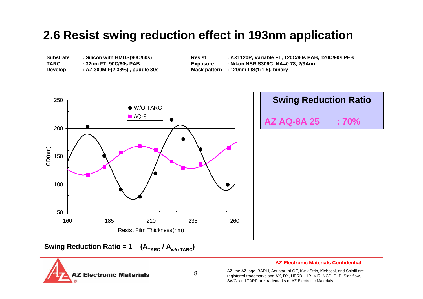## **2.6 Resist swing reduction effect in 193nm application**

| <b>Substrate</b> | : Silicon with HMDS(90C/60s)   |
|------------------|--------------------------------|
| <b>TARC</b>      | : 32nm FT, 90C/60s PAB         |
| <b>Develop</b>   | : AZ 300MIF(2.38%), puddle 30s |

**Substrate : Silicon with HMDS(90C/60s) Resist : AX1120P, Variable FT, 120C/90s PAB, 120C/90s PEB Exposure • : Nikon NSR S306C, NA=0.78, 2/3Ann. Mask pattern** : 120nm L/S(1:1.5), binary



# **Swing Reduction Ratio AZ AQ-8A 25 : 70%**

**Swing Reduction Ratio = 1 – (ATARC / Aw/o TARC)**



#### **AZ Electronic Materials Confidential**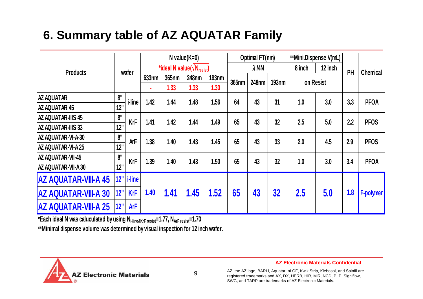# **6. Summary table of AZ AQUATAR Family**

|                             |     |                     | $N$ value $(K=0)$                           |              |              | Optimal FT(nm) |              | **Mini.Dispense V(mL) |                              |           |                 |     |                  |      |      |      |      |      |      |      |      |     |     |             |     |     |     |             |
|-----------------------------|-----|---------------------|---------------------------------------------|--------------|--------------|----------------|--------------|-----------------------|------------------------------|-----------|-----------------|-----|------------------|------|------|------|------|------|------|------|------|-----|-----|-------------|-----|-----|-----|-------------|
| <b>Products</b>             |     |                     | *ideal N value $(\sqrt{N_{\text{resist}}})$ |              |              | $\lambda$ /4N  |              | 8 inch                | 12 inch                      | PH        | <b>Chemical</b> |     |                  |      |      |      |      |      |      |      |      |     |     |             |     |     |     |             |
|                             |     | wafer<br>633nm<br>٠ |                                             | <b>365nm</b> | <b>248nm</b> | <b>193nm</b>   | <b>365nm</b> |                       | <b>248nm</b><br><b>193nm</b> | on Resist |                 |     |                  |      |      |      |      |      |      |      |      |     |     |             |     |     |     |             |
|                             |     |                     |                                             | 1.33         | 1.33         | 1.30           |              |                       |                              |           |                 |     |                  |      |      |      |      |      |      |      |      |     |     |             |     |     |     |             |
| <b>AZ AQUATAR</b>           | 8"  | <i>i</i> -line      | 1.42                                        | 1.44         | 1.48         | 1.56           | 64           | 43                    | 31                           | 1.0       | 3.0             | 3.3 | <b>PFOA</b>      |      |      |      |      |      |      |      |      |     |     |             |     |     |     |             |
| <b>AZ AQUATAR 45</b>        | 12" |                     |                                             |              |              |                |              |                       |                              |           |                 |     |                  |      |      |      |      |      |      |      |      |     |     |             |     |     |     |             |
| <b>AZ AQUATAR-IIIS 45</b>   | 8"  | <b>KrF</b>          |                                             |              |              |                |              |                       |                              |           |                 |     |                  |      |      |      |      | 1.41 | 1.42 | 1.44 | 1.49 | 65  | 43  | 32          | 2.5 | 5.0 | 2.2 | <b>PFOS</b> |
| <b>AZ AQUATAR-IIIS 33</b>   | 12" |                     |                                             |              |              |                |              |                       |                              |           |                 |     |                  |      |      |      |      |      |      |      |      |     |     |             |     |     |     |             |
| AZ AQUATAR-VI-A-30          | 8"  | <b>ArF</b>          |                                             |              |              |                |              |                       |                              |           |                 |     |                  | 1.38 | 1.40 | 1.43 | 1.45 | 65   | 43   | 33   | 2.0  | 4.5 | 2.9 | <b>PFOS</b> |     |     |     |             |
| <b>AZ AQUATAR-VI-A 25</b>   | 12" |                     |                                             |              |              |                |              |                       |                              |           |                 |     |                  |      |      |      |      |      |      |      |      |     |     |             |     |     |     |             |
| <b>AZ AQUATAR-VII-45</b>    | 8"  | <b>KrF</b>          |                                             |              |              |                |              |                       |                              |           |                 |     |                  | 1.39 | 1.40 | 1.43 | 1.50 | 65   | 43   | 32   | 1.0  | 3.0 | 3.4 | <b>PFOA</b> |     |     |     |             |
| <b>AZ AQUATAR-VII-A 30</b>  | 12" |                     |                                             |              |              |                |              |                       |                              |           |                 |     |                  |      |      |      |      |      |      |      |      |     |     |             |     |     |     |             |
| <b>AZ AQUATAR-VIII-A 45</b> | 12" | <i>i-line</i>       |                                             |              |              |                |              |                       |                              |           |                 |     |                  |      |      |      |      |      |      |      |      |     |     |             |     |     |     |             |
| <b>AZ AQUATAR-VIII-A 30</b> | 12" | <b>KrF</b>          | 1.40                                        | 1.41         | 1.45         | 1.52           | 65           | 43                    | 32                           | 2.5       | 5.0             | 1.8 | <b>F-polymer</b> |      |      |      |      |      |      |      |      |     |     |             |     |     |     |             |
| <b>AZ AQUATAR-VIII-A 25</b> | 12" | <b>ArF</b>          |                                             |              |              |                |              |                       |                              |           |                 |     |                  |      |      |      |      |      |      |      |      |     |     |             |     |     |     |             |

**\*Each ideal N was caluculated b y usin g Ni-line&KrF resist=1.77, NArF resist=1.70**

**\*\*Minimal dispense volume was determined by visual inspection for 12 inch wafer.**



**AZ Electronic Materials Confidential**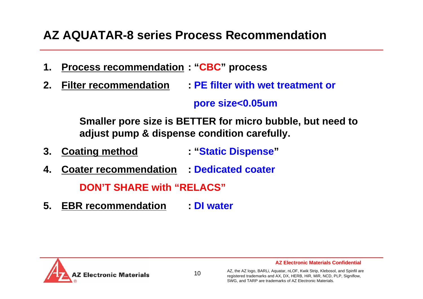## **AZ AQUATAR-8 series Process Recommendation**

- **1. Process recommendation : "CBC" process**
- **2. Filter recommendation: PE filter with wet treatment or**

## **pore size<0.05um**

**Smaller pore size is BETTER for micro bubble, but need to adjust pump & dispense condition carefully.**

- **3. Coating method : "Static Dispense "**
- **4. Coater recommendation : Dedicated coater**

**DON'T SHARE with "RELACS"**

**5. EBR recommendation: DI water**

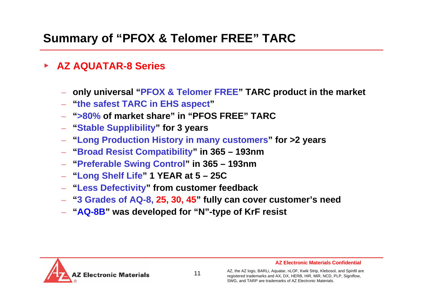# **Summary of "PFOX & Telomer FREE" TARC**

- ▶ **AZ AQUATAR-8 Series**
	- **only universal "PFOX & Telomer FREE" TARC product in the market**
	- **"the safest TARC in EHS aspect "**
	- –**">80% of market share" in "PFOS FREE" TARC**
	- **"Stable Supplibility" for 3 years**
	- **"Long Production History in many customers" for >2 years**
	- **"Broad Resist Compatibility" in 365 – 193nm**
	- **"Preferable Swing Control" in 365 – 193nm**
	- **"Long Shelf Life" 1 YEAR at 5 – 25C**
	- **"Less Defectivity" from customer feedback**
	- **"3 Grades of AQ-8, 25, 30, 45" fully can cover customer's need**
	- **"AQ-8B" was developed for "N"-type of KrF resist**



11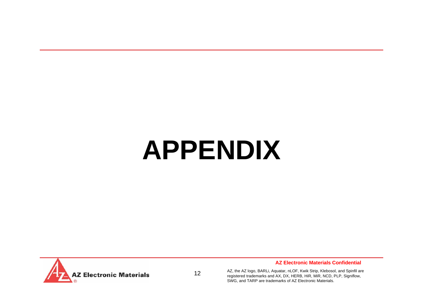# **APPENDIX**



12

**AZ Electronic Materials Confidential**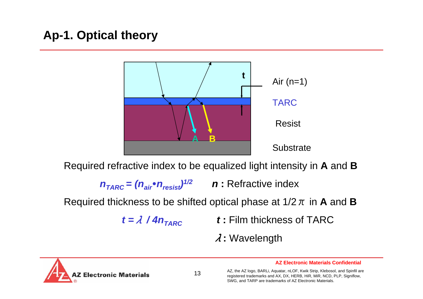# **Ap-1. Optical theory**



Required refractive index to be equalized light intensity in **A** and **B**

 $n_{TARC} = (n_{air} \cdot n_{resist})^{1/2}$  *n* : Refractive index

Required thickness to be shifted optical phase at 1/2  $\pi$  in **A** and **B** 

 $t = \lambda / 4n_{TARC}$ 

*t* **:** Film thickness of TARC

λ**:** Wavelength

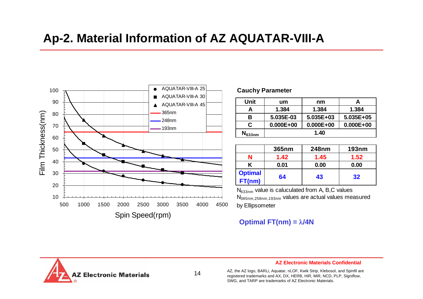## **Ap-2. Material Information of AZ AQUATAR-VIII-A**



#### **Cauchy Parameter**

| Unit        | um            | nm            |               |
|-------------|---------------|---------------|---------------|
|             | 1.384         | 1.384         | 1.384         |
| в           | 5.035E-03     | 5.035E+03     | $5.035E+05$   |
| C           | $0.000E + 00$ | $0.000E + 00$ | $0.000E + 00$ |
| $N_{633nm}$ |               | 1.40          |               |

|                          | 365nm | <b>248nm</b> | <b>193nm</b> |
|--------------------------|-------|--------------|--------------|
|                          | 1.42  | 1.45         | 1.52         |
|                          | 0.01  | 0.00         | 0.00         |
| <b>Optimal</b><br>FT(nm) | 64    | 43           | 32           |

N633nm value is caluculated from A, B,C values  $\mathsf{N}_{365\mathsf{nm},258\mathsf{nm},193\mathsf{nm}}$  values are actual values measured by Ellipsometer

#### **Optimal FT(nm) =**  λ**/4N**



14

#### **AZ Electronic Materials Confidential**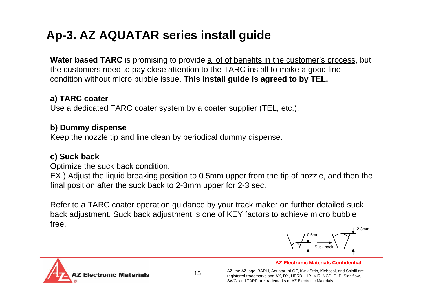# **Ap-3. AZ AQUATAR series install guide**

**Water based TARC** is promising to provide <u>a lot of benefits in the customer's process</u>, but the customers need to pay close attention to the TARC install to make a good line condition without micro bubble issue. **This install guide is agreed to by TEL.**

## **a) TARC coater**

Use a dedicated TARC coater system by a coater supplier (TEL, etc.).

## **b) Dummy dispense**

Keep the nozzle tip and line clean by periodical dummy dispense.

## **c) Suck back**

Optimize the suck back condition.

EX.) Adjust the liquid breaking position to 0.5mm upper from the tip of nozzle, and then the final position after the suck back to 2-3mm upper for 2-3 sec.

Refer to a TARC coater operation guidance by your track maker on further detailed suck back adjustment. Suck back adjustment is one of KEY factors to achieve micro bubble free.



**AZ Electronic Materials Confidential**

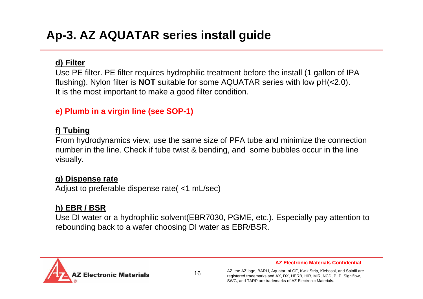## **d) Filter**

Use PE filter. PE filter requires hydrophilic treatment before the install (1 gallon of IPA flushing). Nylon filter is **NOT** suitable for some AQUATAR series with low pH(<2.0). It is the most important to make a good filter condition.

**e) Plumb in a virgin line (see SOP-1)**

## **f) Tubing**

From hydrodynamics view, use the same size of PFA tube and minimize the connection number in the line. Check if tube twist & bending, and some bubbles occur in the line visually.

## **g) Dispense rate**

Adjust to preferable dispense rate( <1 mL/sec)

## **h) EBR / BSR**

Use DI water or a hydrophilic solvent(EBR7030, PGME, etc.). Especially pay attention to rebounding back to a wafer choosing DI water as EBR/BSR.



**AZ Electronic Materials Confidential**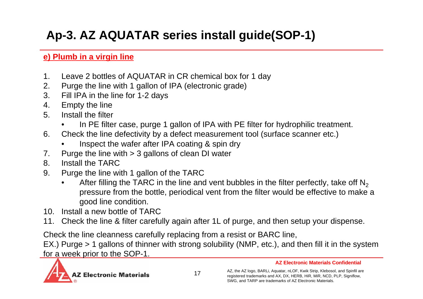# **Ap-3. AZ AQUATAR series install guide(SOP-1)**

## **e) Plumb in a virgin line**

- 1. Leave 2 bottles of AQUATAR in CR chemical box for 1 day
- 2. Purge the line with 1 gallon of IPA (electronic grade)
- 3. Fill IPA in the line for 1-2 days
- 4. Empty the line
- 5. Install the filter
	- •In PE filter case, purge 1 gallon of IPA with PE filter for hydrophilic treatment.
- 6. Check the line defectivity by a defect measurement tool (surface scanner etc.)
	- •Inspect the wafer after IPA coating & spin dry
- 7. Purge the line with > 3 gallons of clean DI water
- 8. Install the TARC
- 9. Purge the line with 1 gallon of the TARC
	- •After filling the TARC in the line and vent bubbles in the filter perfectly, take off  $\mathsf{N}_2$ pressure from the bottle, periodical vent from the filter would be effective to make a good line condition.
- 10. Install a new bottle of TARC
- 11. Check the line & filter carefully again after 1L of purge, and then setup your dispense.

Check the line cleanness carefully replacing from a resist or BARC line,

EX.) Purge > 1 gallons of thinner with strong solubility (NMP, etc.), and then fill it in the system for a week prior to the SOP-1.

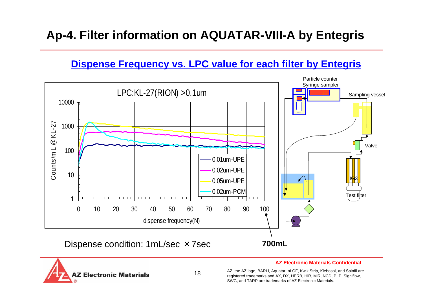## **Ap-4. Filter information on AQUATAR-VIII-A by Entegris**

## **Dispense Frequency vs. LPC value for each filter by Entegris**





#### **AZ Electronic Materials Confidential**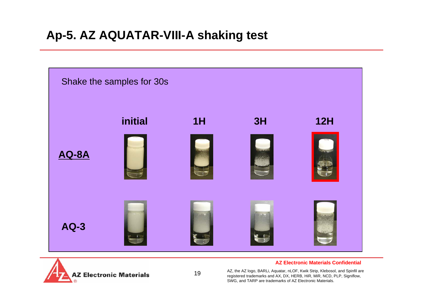## **Ap-5. AZ AQUATAR-VIII-A shaking test**



19



#### **AZ Electronic Materials Confidential**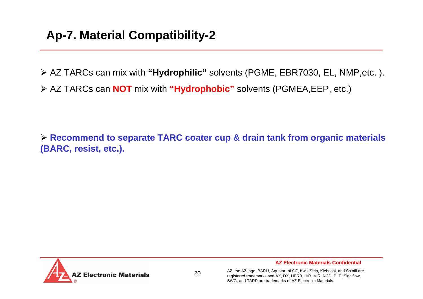¾ AZ TARCs can mix with **"Hydrophilic"** solvents (PGME, EBR7030, EL, NMP,etc. ). ¾ AZ TARCs can **NOT** mix with **"Hydrophobic"** solvents (PGMEA,EEP, etc.)

¾ **Recommend to separate TARC coater cup & drain tank from organic materials (BARC, resist, etc.).**



**AZ Electronic Materials Confidential**

AZ, the AZ logo, BARLi, Aquatar, nLOF, Kwik Strip, Klebosol, and Spinfil are registered trademarks and AX, DX, HERB, HiR, MiR, NCD, PLP, Signiflow, SWG, and TARP are trademarks of AZ Electronic Materials.

20